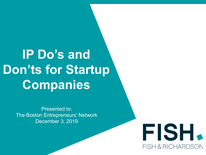# **IP Do's and Don'ts for Startup Companies**

Presented to: The Boston Entrepreneurs' Network December 3, 2019

FISH. FISH & RICHARDSON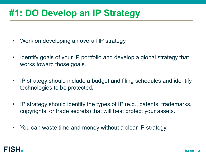#### **#1: DO Develop an IP Strategy**

- Work on developing an overall IP strategy.
- Identify goals of your IP portfolio and develop a global strategy that works toward those goals.
- IP strategy should include a budget and filing schedules and identify technologies to be protected.
- IP strategy should identify the types of IP (e.g., patents, trademarks, copyrights, or trade secrets) that will best protect your assets.
- You can waste time and money without a clear IP strategy.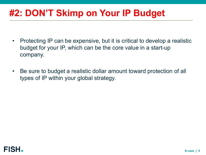## **#2: DON'T Skimp on Your IP Budget**

- Protecting IP can be expensive, but it is critical to develop a realistic budget for your IP, which can be the core value in a start-up company.
- Be sure to budget a realistic dollar amount toward protection of all types of IP within your global strategy.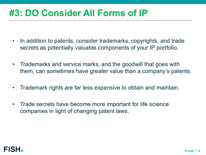#### **#3: DO Consider All Forms of IP**

- In addition to patents, consider trademarks, copyrights, and trade secrets as potentially valuable components of your IP portfolio.
- Trademarks and service marks, and the goodwill that goes with them, can sometimes have greater value than a company's patents.
- Trademark rights are far less expensive to obtain and maintain.
- Trade secrets have become more important for life science companies in light of changing patent laws.

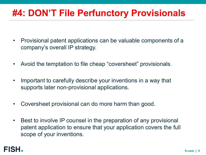## **#4: DON'T File Perfunctory Provisionals**

- Provisional patent applications can be valuable components of a company's overall IP strategy.
- Avoid the temptation to file cheap "coversheet" provisionals.
- Important to carefully describe your inventions in a way that supports later non-provisional applications.
- Coversheet provisional can do more harm than good.
- Best to involve IP counsel in the preparation of any provisional patent application to ensure that your application covers the full scope of your inventions.

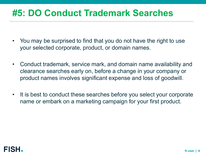#### **#5: DO Conduct Trademark Searches**

- You may be surprised to find that you do not have the right to use your selected corporate, product, or domain names.
- Conduct trademark, service mark, and domain name availability and clearance searches early on, before a change in your company or product names involves significant expense and loss of goodwill.
- It is best to conduct these searches before you select your corporate name or embark on a marketing campaign for your first product.

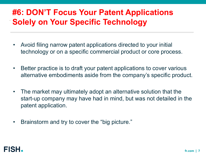#### **#6: DON'T Focus Your Patent Applications Solely on Your Specific Technology**

- Avoid filing narrow patent applications directed to your initial technology or on a specific commercial product or core process.
- Better practice is to draft your patent applications to cover various alternative embodiments aside from the company's specific product.
- The market may ultimately adopt an alternative solution that the start-up company may have had in mind, but was not detailed in the patent application.
- Brainstorm and try to cover the "big picture."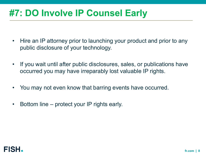#### **#7: DO Involve IP Counsel Early**

- Hire an IP attorney prior to launching your product and prior to any public disclosure of your technology.
- If you wait until after public disclosures, sales, or publications have occurred you may have irreparably lost valuable IP rights.
- You may not even know that barring events have occurred.
- Bottom line protect your IP rights early.

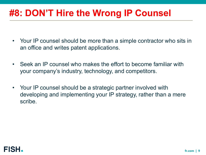### **#8: DON'T Hire the Wrong IP Counsel**

- Your IP counsel should be more than a simple contractor who sits in an office and writes patent applications.
- Seek an IP counsel who makes the effort to become familiar with your company's industry, technology, and competitors.
- Your IP counsel should be a strategic partner involved with developing and implementing your IP strategy, rather than a mere scribe.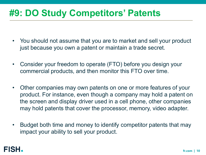#### **#9: DO Study Competitors' Patents**

- You should not assume that you are to market and sell your product just because you own a patent or maintain a trade secret.
- Consider your freedom to operate (FTO) before you design your commercial products, and then monitor this FTO over time.
- Other companies may own patents on one or more features of your product. For instance, even though a company may hold a patent on the screen and display driver used in a cell phone, other companies may hold patents that cover the processor, memory, video adapter.
- Budget both time and money to identify competitor patents that may impact your ability to sell your product.

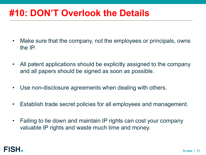#### **#10: DON'T Overlook the Details**

- Make sure that the company, not the employees or principals, owns the IP.
- All patent applications should be explicitly assigned to the company and all papers should be signed as soon as possible.
- Use non-disclosure agreements when dealing with others.
- Establish trade secret policies for all employees and management.
- Failing to tie down and maintain IP rights can cost your company valuable IP rights and waste much time and money.

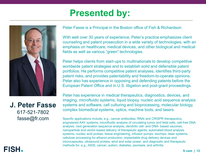#### **Presented by:**



**J. Peter Fasse** 617-521-7802 fasse@fr.com

Peter Fasse is a Principal in the Boston office of Fish & Richardson.

With well over 30 years of experience, Peter's practice emphasizes client counseling and patent prosecution in a wide variety of technologies, with an emphasis on healthcare, medical devices, and other biological and medical fields as well as various "green" technologies.

Peter helps clients from start-ups to multinationals to develop competitive worldwide patent strategies and to establish solid and defensible patent portfolios. He performs competitive patent analyses, identifies third-party patent risks, and provides patentability and freedom-to-operate opinions. Peter also has experience in opposing and defending patents before the European Patent Office and in U.S. litigation and post-grant proceedings.

Peter has experience in medical therapeutics, diagnostics, devices, and imaging, microfluidic systems, liquid biopsy, nucleic acid sequence analysis systems and software, cell culturing and bioprocessing, molecular biology, complex biomedical systems, optics, machine tools, and lasers.

Specific applications include, e.g., cancer antibodies, RNAi and CRISPR therapeutics, engineered AAV systems, microfluidic analysis of circulating tumor and fetal cells, cell-free DNA analysis, next generation sequence analysis, dendritic cell- and DNA- based vaccines, nanoparticle and vector-based delivery of therapeutic agents, automated blood analysis systems, nucleic acid probes, tissue engineering, infusion pumps, biochips, laser systems, cellulose processing for ethanol production, implantable drug delivery devices and microcapsules, ultrasound probes, wind and solar power, and diagnostic and therapeutic methods for, e.g., AIDS, cancer, autism, diabetes, psoriasis, and arthritis.

**FISH,**